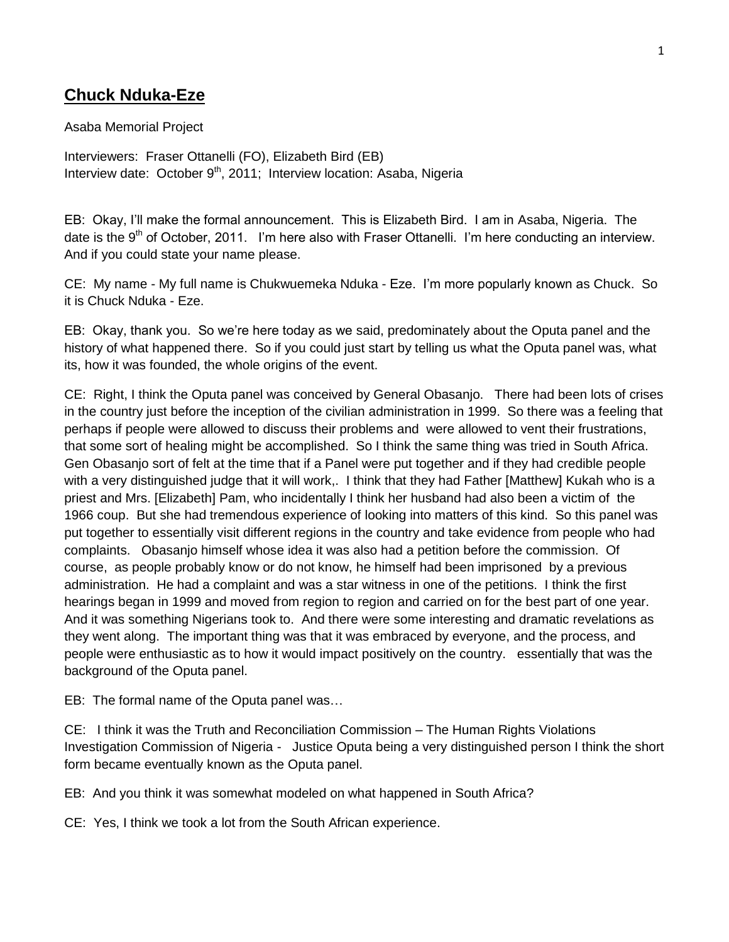## **Chuck Nduka-Eze**

Asaba Memorial Project

Interviewers: Fraser Ottanelli (FO), Elizabeth Bird (EB) Interview date: October 9<sup>th</sup>, 2011; Interview location: Asaba, Nigeria

EB: Okay, I'll make the formal announcement. This is Elizabeth Bird. I am in Asaba, Nigeria. The date is the  $9<sup>th</sup>$  of October, 2011. I'm here also with Fraser Ottanelli. I'm here conducting an interview. And if you could state your name please.

CE: My name - My full name is Chukwuemeka Nduka - Eze. I'm more popularly known as Chuck. So it is Chuck Nduka - Eze.

EB: Okay, thank you. So we're here today as we said, predominately about the Oputa panel and the history of what happened there. So if you could just start by telling us what the Oputa panel was, what its, how it was founded, the whole origins of the event.

CE: Right, I think the Oputa panel was conceived by General Obasanjo. There had been lots of crises in the country just before the inception of the civilian administration in 1999. So there was a feeling that perhaps if people were allowed to discuss their problems and were allowed to vent their frustrations, that some sort of healing might be accomplished. So I think the same thing was tried in South Africa. Gen Obasanjo sort of felt at the time that if a Panel were put together and if they had credible people with a very distinguished judge that it will work,. I think that they had Father [Matthew] Kukah who is a priest and Mrs. [Elizabeth] Pam, who incidentally I think her husband had also been a victim of the 1966 coup. But she had tremendous experience of looking into matters of this kind. So this panel was put together to essentially visit different regions in the country and take evidence from people who had complaints. Obasanjo himself whose idea it was also had a petition before the commission. Of course, as people probably know or do not know, he himself had been imprisoned by a previous administration. He had a complaint and was a star witness in one of the petitions. I think the first hearings began in 1999 and moved from region to region and carried on for the best part of one year. And it was something Nigerians took to. And there were some interesting and dramatic revelations as they went along. The important thing was that it was embraced by everyone, and the process, and people were enthusiastic as to how it would impact positively on the country. essentially that was the background of the Oputa panel.

EB: The formal name of the Oputa panel was…

CE: I think it was the Truth and Reconciliation Commission – The Human Rights Violations Investigation Commission of Nigeria - Justice Oputa being a very distinguished person I think the short form became eventually known as the Oputa panel.

EB: And you think it was somewhat modeled on what happened in South Africa?

CE: Yes, I think we took a lot from the South African experience.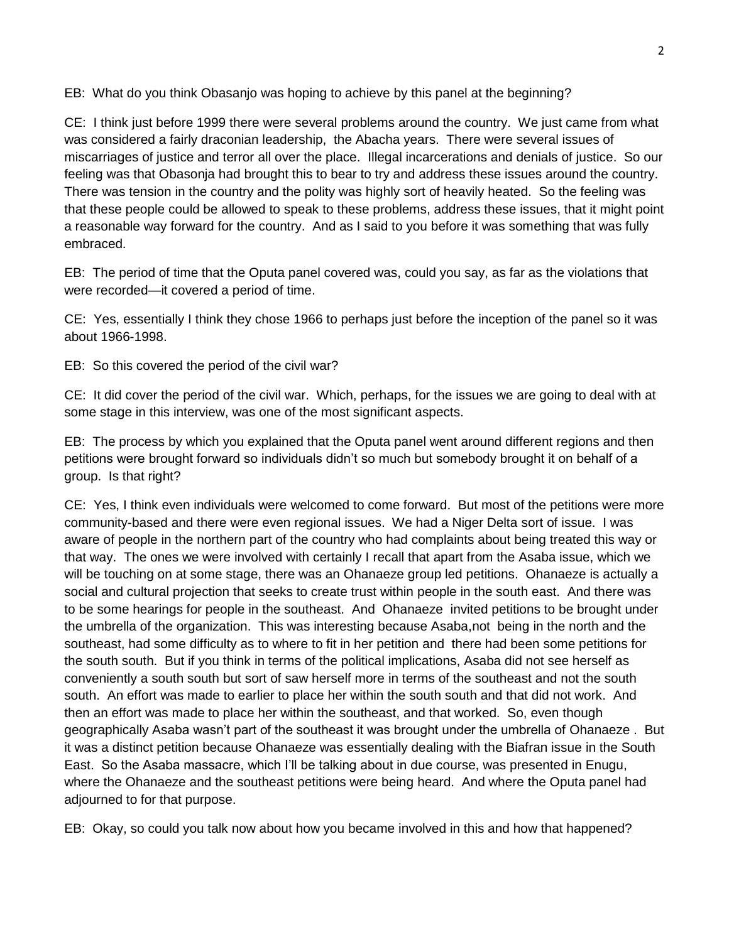EB: What do you think Obasanjo was hoping to achieve by this panel at the beginning?

CE: I think just before 1999 there were several problems around the country. We just came from what was considered a fairly draconian leadership, the Abacha years. There were several issues of miscarriages of justice and terror all over the place. Illegal incarcerations and denials of justice. So our feeling was that Obasonja had brought this to bear to try and address these issues around the country. There was tension in the country and the polity was highly sort of heavily heated. So the feeling was that these people could be allowed to speak to these problems, address these issues, that it might point a reasonable way forward for the country. And as I said to you before it was something that was fully embraced.

EB: The period of time that the Oputa panel covered was, could you say, as far as the violations that were recorded—it covered a period of time.

CE: Yes, essentially I think they chose 1966 to perhaps just before the inception of the panel so it was about 1966-1998.

EB: So this covered the period of the civil war?

CE: It did cover the period of the civil war. Which, perhaps, for the issues we are going to deal with at some stage in this interview, was one of the most significant aspects.

EB: The process by which you explained that the Oputa panel went around different regions and then petitions were brought forward so individuals didn't so much but somebody brought it on behalf of a group. Is that right?

CE: Yes, I think even individuals were welcomed to come forward. But most of the petitions were more community-based and there were even regional issues. We had a Niger Delta sort of issue. I was aware of people in the northern part of the country who had complaints about being treated this way or that way. The ones we were involved with certainly I recall that apart from the Asaba issue, which we will be touching on at some stage, there was an Ohanaeze group led petitions. Ohanaeze is actually a social and cultural projection that seeks to create trust within people in the south east. And there was to be some hearings for people in the southeast. And Ohanaeze invited petitions to be brought under the umbrella of the organization. This was interesting because Asaba,not being in the north and the southeast, had some difficulty as to where to fit in her petition and there had been some petitions for the south south. But if you think in terms of the political implications, Asaba did not see herself as conveniently a south south but sort of saw herself more in terms of the southeast and not the south south. An effort was made to earlier to place her within the south south and that did not work. And then an effort was made to place her within the southeast, and that worked. So, even though geographically Asaba wasn't part of the southeast it was brought under the umbrella of Ohanaeze . But it was a distinct petition because Ohanaeze was essentially dealing with the Biafran issue in the South East. So the Asaba massacre, which I'll be talking about in due course, was presented in Enugu, where the Ohanaeze and the southeast petitions were being heard. And where the Oputa panel had adjourned to for that purpose.

EB: Okay, so could you talk now about how you became involved in this and how that happened?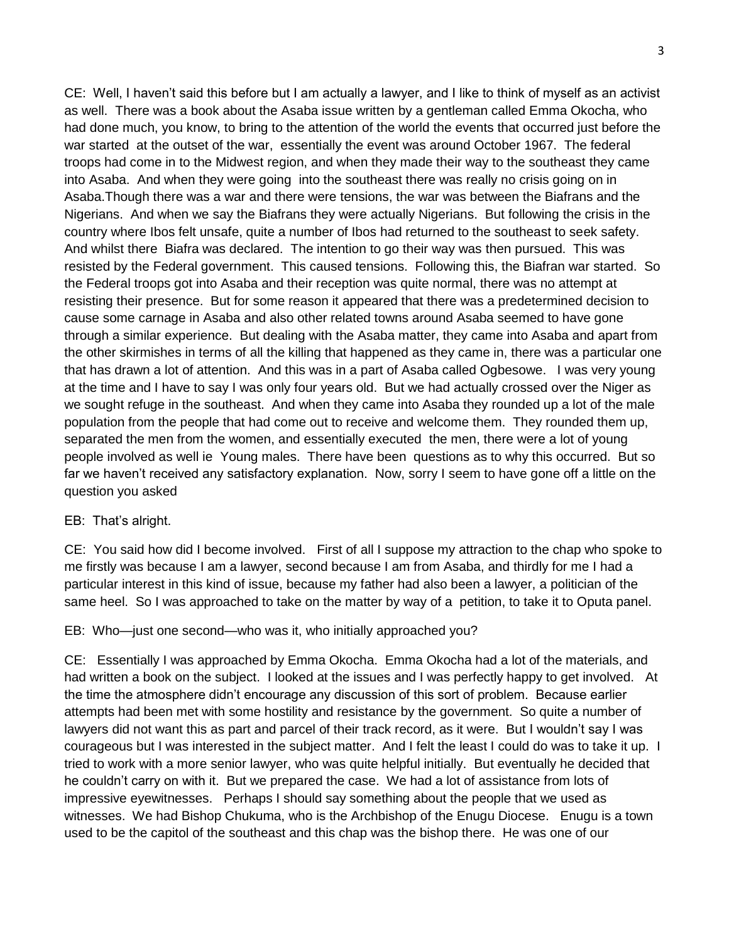CE: Well, I haven't said this before but I am actually a lawyer, and I like to think of myself as an activist as well. There was a book about the Asaba issue written by a gentleman called Emma Okocha, who had done much, you know, to bring to the attention of the world the events that occurred just before the war started at the outset of the war, essentially the event was around October 1967. The federal troops had come in to the Midwest region, and when they made their way to the southeast they came into Asaba. And when they were going into the southeast there was really no crisis going on in Asaba.Though there was a war and there were tensions, the war was between the Biafrans and the Nigerians. And when we say the Biafrans they were actually Nigerians. But following the crisis in the country where Ibos felt unsafe, quite a number of Ibos had returned to the southeast to seek safety. And whilst there Biafra was declared. The intention to go their way was then pursued. This was resisted by the Federal government. This caused tensions. Following this, the Biafran war started. So the Federal troops got into Asaba and their reception was quite normal, there was no attempt at resisting their presence. But for some reason it appeared that there was a predetermined decision to cause some carnage in Asaba and also other related towns around Asaba seemed to have gone through a similar experience. But dealing with the Asaba matter, they came into Asaba and apart from the other skirmishes in terms of all the killing that happened as they came in, there was a particular one that has drawn a lot of attention. And this was in a part of Asaba called Ogbesowe. I was very young at the time and I have to say I was only four years old. But we had actually crossed over the Niger as we sought refuge in the southeast. And when they came into Asaba they rounded up a lot of the male population from the people that had come out to receive and welcome them. They rounded them up, separated the men from the women, and essentially executed the men, there were a lot of young people involved as well ie Young males. There have been questions as to why this occurred. But so far we haven't received any satisfactory explanation. Now, sorry I seem to have gone off a little on the question you asked

EB: That's alright.

CE: You said how did I become involved. First of all I suppose my attraction to the chap who spoke to me firstly was because I am a lawyer, second because I am from Asaba, and thirdly for me I had a particular interest in this kind of issue, because my father had also been a lawyer, a politician of the same heel. So I was approached to take on the matter by way of a petition, to take it to Oputa panel.

EB: Who—just one second—who was it, who initially approached you?

CE: Essentially I was approached by Emma Okocha. Emma Okocha had a lot of the materials, and had written a book on the subject. I looked at the issues and I was perfectly happy to get involved. At the time the atmosphere didn't encourage any discussion of this sort of problem. Because earlier attempts had been met with some hostility and resistance by the government. So quite a number of lawyers did not want this as part and parcel of their track record, as it were. But I wouldn't say I was courageous but I was interested in the subject matter. And I felt the least I could do was to take it up. I tried to work with a more senior lawyer, who was quite helpful initially. But eventually he decided that he couldn't carry on with it. But we prepared the case. We had a lot of assistance from lots of impressive eyewitnesses. Perhaps I should say something about the people that we used as witnesses. We had Bishop Chukuma, who is the Archbishop of the Enugu Diocese. Enugu is a town used to be the capitol of the southeast and this chap was the bishop there. He was one of our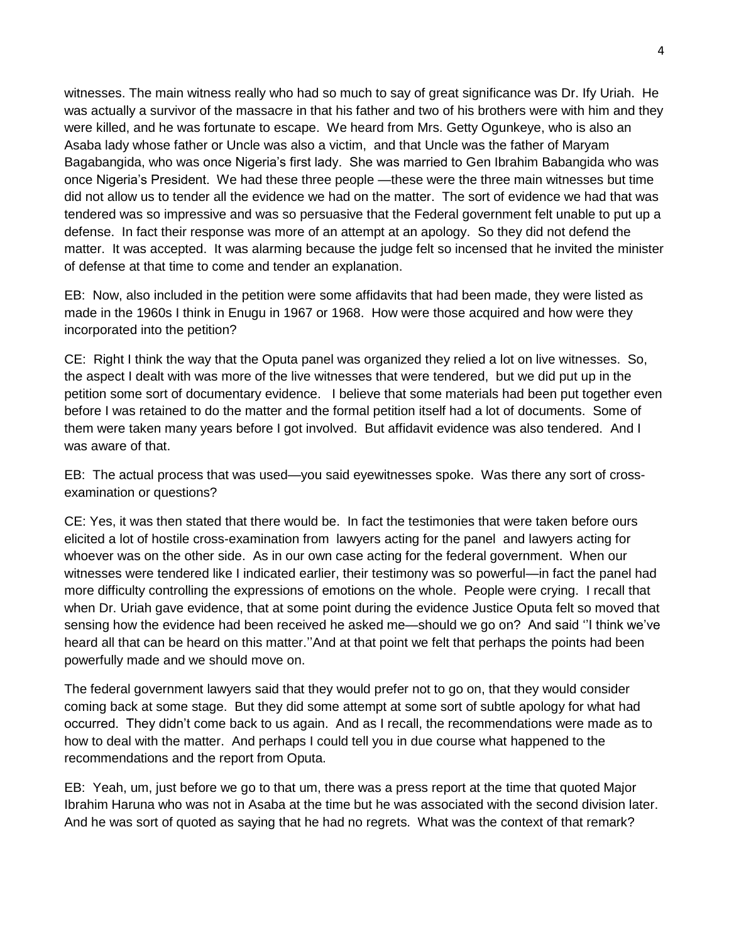witnesses. The main witness really who had so much to say of great significance was Dr. Ify Uriah. He was actually a survivor of the massacre in that his father and two of his brothers were with him and they were killed, and he was fortunate to escape. We heard from Mrs. Getty Ogunkeye, who is also an Asaba lady whose father or Uncle was also a victim, and that Uncle was the father of Maryam Bagabangida, who was once Nigeria's first lady. She was married to Gen Ibrahim Babangida who was once Nigeria's President. We had these three people —these were the three main witnesses but time did not allow us to tender all the evidence we had on the matter. The sort of evidence we had that was tendered was so impressive and was so persuasive that the Federal government felt unable to put up a defense. In fact their response was more of an attempt at an apology. So they did not defend the matter. It was accepted. It was alarming because the judge felt so incensed that he invited the minister of defense at that time to come and tender an explanation.

EB: Now, also included in the petition were some affidavits that had been made, they were listed as made in the 1960s I think in Enugu in 1967 or 1968. How were those acquired and how were they incorporated into the petition?

CE: Right I think the way that the Oputa panel was organized they relied a lot on live witnesses. So, the aspect I dealt with was more of the live witnesses that were tendered, but we did put up in the petition some sort of documentary evidence. I believe that some materials had been put together even before I was retained to do the matter and the formal petition itself had a lot of documents. Some of them were taken many years before I got involved. But affidavit evidence was also tendered. And I was aware of that.

EB: The actual process that was used—you said eyewitnesses spoke. Was there any sort of crossexamination or questions?

CE: Yes, it was then stated that there would be. In fact the testimonies that were taken before ours elicited a lot of hostile cross-examination from lawyers acting for the panel and lawyers acting for whoever was on the other side. As in our own case acting for the federal government. When our witnesses were tendered like I indicated earlier, their testimony was so powerful—in fact the panel had more difficulty controlling the expressions of emotions on the whole. People were crying. I recall that when Dr. Uriah gave evidence, that at some point during the evidence Justice Oputa felt so moved that sensing how the evidence had been received he asked me—should we go on? And said ''I think we've heard all that can be heard on this matter.''And at that point we felt that perhaps the points had been powerfully made and we should move on.

The federal government lawyers said that they would prefer not to go on, that they would consider coming back at some stage. But they did some attempt at some sort of subtle apology for what had occurred. They didn't come back to us again. And as I recall, the recommendations were made as to how to deal with the matter. And perhaps I could tell you in due course what happened to the recommendations and the report from Oputa.

EB: Yeah, um, just before we go to that um, there was a press report at the time that quoted Major Ibrahim Haruna who was not in Asaba at the time but he was associated with the second division later. And he was sort of quoted as saying that he had no regrets. What was the context of that remark?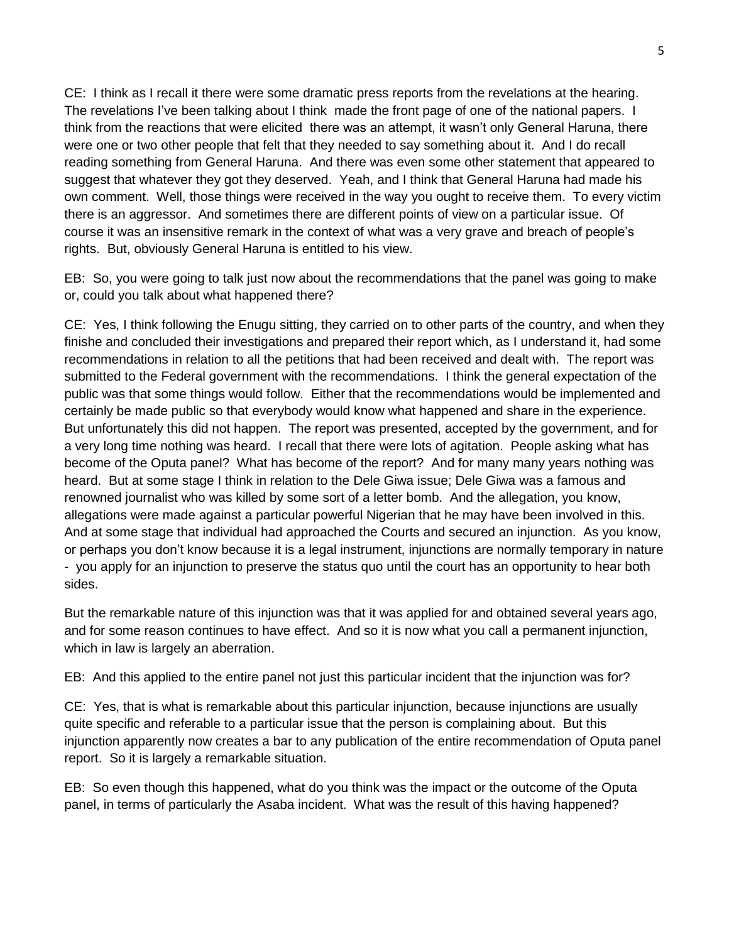CE: I think as I recall it there were some dramatic press reports from the revelations at the hearing. The revelations I've been talking about I think made the front page of one of the national papers. I think from the reactions that were elicited there was an attempt, it wasn't only General Haruna, there were one or two other people that felt that they needed to say something about it. And I do recall reading something from General Haruna. And there was even some other statement that appeared to suggest that whatever they got they deserved. Yeah, and I think that General Haruna had made his own comment. Well, those things were received in the way you ought to receive them. To every victim there is an aggressor. And sometimes there are different points of view on a particular issue. Of course it was an insensitive remark in the context of what was a very grave and breach of people's rights. But, obviously General Haruna is entitled to his view.

EB: So, you were going to talk just now about the recommendations that the panel was going to make or, could you talk about what happened there?

CE: Yes, I think following the Enugu sitting, they carried on to other parts of the country, and when they finishe and concluded their investigations and prepared their report which, as I understand it, had some recommendations in relation to all the petitions that had been received and dealt with. The report was submitted to the Federal government with the recommendations. I think the general expectation of the public was that some things would follow. Either that the recommendations would be implemented and certainly be made public so that everybody would know what happened and share in the experience. But unfortunately this did not happen. The report was presented, accepted by the government, and for a very long time nothing was heard. I recall that there were lots of agitation. People asking what has become of the Oputa panel? What has become of the report? And for many many years nothing was heard. But at some stage I think in relation to the Dele Giwa issue; Dele Giwa was a famous and renowned journalist who was killed by some sort of a letter bomb. And the allegation, you know, allegations were made against a particular powerful Nigerian that he may have been involved in this. And at some stage that individual had approached the Courts and secured an injunction. As you know, or perhaps you don't know because it is a legal instrument, injunctions are normally temporary in nature - you apply for an injunction to preserve the status quo until the court has an opportunity to hear both sides.

But the remarkable nature of this injunction was that it was applied for and obtained several years ago, and for some reason continues to have effect. And so it is now what you call a permanent injunction, which in law is largely an aberration.

EB: And this applied to the entire panel not just this particular incident that the injunction was for?

CE: Yes, that is what is remarkable about this particular injunction, because injunctions are usually quite specific and referable to a particular issue that the person is complaining about. But this injunction apparently now creates a bar to any publication of the entire recommendation of Oputa panel report. So it is largely a remarkable situation.

EB: So even though this happened, what do you think was the impact or the outcome of the Oputa panel, in terms of particularly the Asaba incident. What was the result of this having happened?